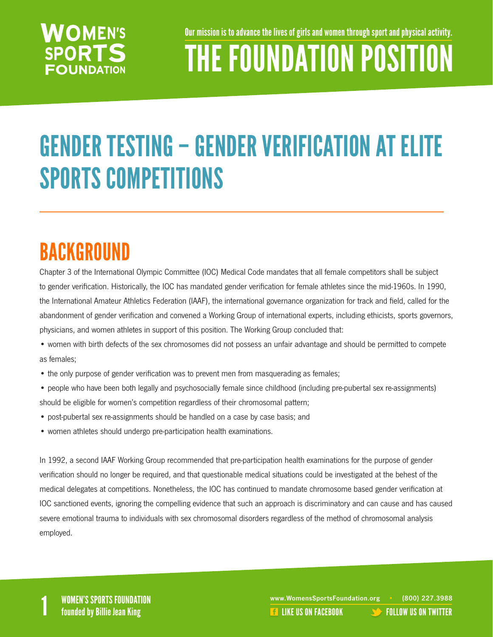### **WOMEN'S SPORTS FOUNDATION**

Our mission is to advance the lives of girls and women through sport and physical activity.

# THE FOUNDATION POSITION

## GENDER TESTING – GENDER VERIFICATION AT ELITE SPORTS COMPETITIONS

## BACKGROUND

Chapter 3 of the International Olympic Committee (IOC) Medical Code mandates that all female competitors shall be subject to gender verification. Historically, the IOC has mandated gender verification for female athletes since the mid-1960s. In 1990, the International Amateur Athletics Federation (IAAF), the international governance organization for track and field, called for the abandonment of gender verification and convened a Working Group of international experts, including ethicists, sports governors, physicians, and women athletes in support of this position. The Working Group concluded that:

• women with birth defects of the sex chromosomes did not possess an unfair advantage and should be permitted to compete as females;

- the only purpose of gender verification was to prevent men from masquerading as females;
- people who have been both legally and psychosocially female since childhood (including pre-pubertal sex re-assignments) should be eligible for women's competition regardless of their chromosomal pattern;
- post-pubertal sex re-assignments should be handled on a case by case basis; and
- women athletes should undergo pre-participation health examinations.

In 1992, a second IAAF Working Group recommended that pre-participation health examinations for the purpose of gender verification should no longer be required, and that questionable medical situations could be investigated at the behest of the medical delegates at competitions. Nonetheless, the IOC has continued to mandate chromosome based gender verification at IOC sanctioned events, ignoring the compelling evidence that such an approach is discriminatory and can cause and has caused severe emotional trauma to individuals with sex chromosomal disorders regardless of the method of chromosomal analysis employed.

WOMEN'S SPORTS FOUNDATION www.WomensSportsFoundation.org • (800) 227.3988<br>1 founded by Billie Jean King the state of the state of the state of the US ON FACEBOOK founded by Billie Jean **REA[LIKE US ON FACEBOOK](https://www.facebook.com/WomensSportsFoundation) [FOLLOW US ON TWITTER](http://twitter.com/#!/womenssportsfdn)**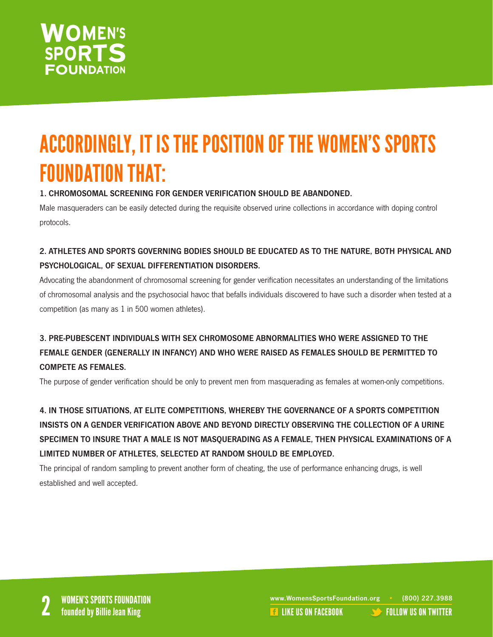

### ACCORDINGLY, IT IS THE POSITION OF THE WOMEN'S SPORTS FOUNDATION THAT:

#### 1. CHROMOSOMAL SCREENING FOR GENDER VERIFICATION SHOULD BE ABANDONED.

Male masqueraders can be easily detected during the requisite observed urine collections in accordance with doping control protocols.

#### 2. ATHLETES AND SPORTS GOVERNING BODIES SHOULD BE EDUCATED AS TO THE NATURE, BOTH PHYSICAL AND PSYCHOLOGICAL, OF SEXUAL DIFFERENTIATION DISORDERS.

Advocating the abandonment of chromosomal screening for gender verification necessitates an understanding of the limitations of chromosomal analysis and the psychosocial havoc that befalls individuals discovered to have such a disorder when tested at a competition (as many as 1 in 500 women athletes).

#### 3. PRE-PUBESCENT INDIVIDUALS WITH SEX CHROMOSOME ABNORMALITIES WHO WERE ASSIGNED TO THE FEMALE GENDER (GENERALLY IN INFANCY) AND WHO WERE RAISED AS FEMALES SHOULD BE PERMITTED TO COMPETE AS FEMALES.

The purpose of gender verification should be only to prevent men from masquerading as females at women-only competitions.

4. IN THOSE SITUATIONS, AT ELITE COMPETITIONS, WHEREBY THE GOVERNANCE OF A SPORTS COMPETITION INSISTS ON A GENDER VERIFICATION ABOVE AND BEYOND DIRECTLY OBSERVING THE COLLECTION OF A URINE SPECIMEN TO INSURE THAT A MALE IS NOT MASQUERADING AS A FEMALE, THEN PHYSICAL EXAMINATIONS OF A LIMITED NUMBER OF ATHLETES, SELECTED AT RANDOM SHOULD BE EMPLOYED.

The principal of random sampling to prevent another form of cheating, the use of performance enhancing drugs, is well established and well accepted.

www.WomensSportsFoundation.org • (800) 227.3988<br>2 **2 Founded by Billie Jean King** 2 Like US ON FACEBOOK [FOLLOW US ON TWITTER](http://twitter.com/#!/womenssportsfdn)